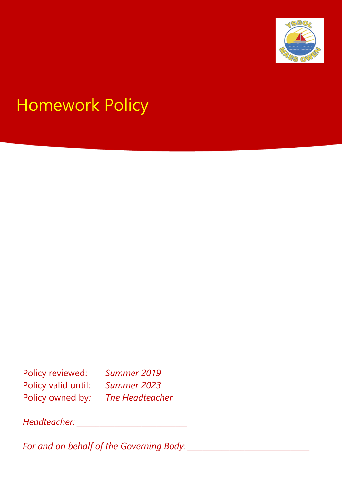

# Homework Policy

Policy reviewed: *Summer 2019* Policy valid until: *Summer 2023* Policy owned by*: The Headteacher*

*Headteacher: \_\_\_\_\_\_\_\_\_\_\_\_\_\_\_\_\_\_\_\_\_\_\_\_\_\_\_\_\_*

*For and on behalf of the Governing Body: \_\_\_\_\_\_\_\_\_\_\_\_\_\_\_\_\_\_\_\_\_\_\_\_\_\_\_\_\_\_\_\_*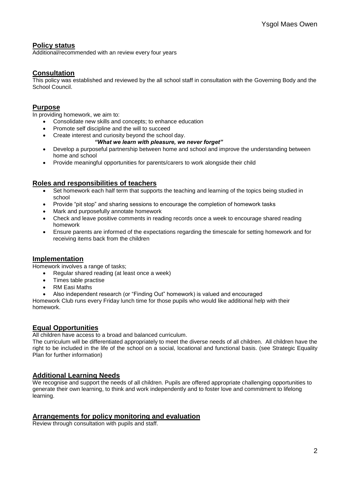# **Policy status**

Additional/recommended with an review every four years

# **Consultation**

This policy was established and reviewed by the all school staff in consultation with the Governing Body and the School Council.

# **Purpose**

In providing homework, we aim to:

- Consolidate new skills and concepts; to enhance education
- Promote self discipline and the will to succeed
- Create interest and curiosity beyond the school day.

#### *"What we learn with pleasure, we never forget"*

- Develop a purposeful partnership between home and school and improve the understanding between home and school
- Provide meaningful opportunities for parents/carers to work alongside their child

# **Roles and responsibilities of teachers**

- Set homework each half term that supports the teaching and learning of the topics being studied in school
- Provide "pit stop" and sharing sessions to encourage the completion of homework tasks
- Mark and purposefully annotate homework
- Check and leave positive comments in reading records once a week to encourage shared reading homework
- Ensure parents are informed of the expectations regarding the timescale for setting homework and for receiving items back from the children

### **Implementation**

Homework involves a range of tasks;

- Regular shared reading (at least once a week)
- Times table practise
- RM Easi Maths
- Also independent research (or "Finding Out" homework) is valued and encouraged

Homework Club runs every Friday lunch time for those pupils who would like additional help with their homework.

### **Equal Opportunities**

All children have access to a broad and balanced curriculum.

The curriculum will be differentiated appropriately to meet the diverse needs of all children. All children have the right to be included in the life of the school on a social, locational and functional basis. (see Strategic Equality Plan for further information)

### **Additional Learning Needs**

We recognise and support the needs of all children. Pupils are offered appropriate challenging opportunities to generate their own learning, to think and work independently and to foster love and commitment to lifelong learning.

### **Arrangements for policy monitoring and evaluation**

Review through consultation with pupils and staff.